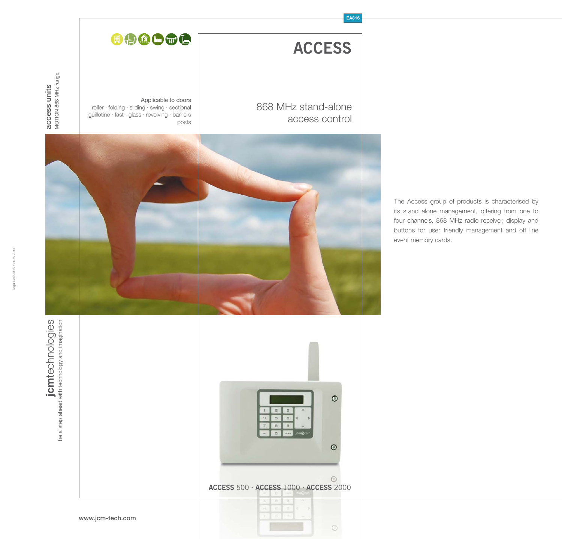## **EA816**

**ACCESS**

access control

868 MHz stand-alone

# DOOGC

Applicable to doors roller · folding · sliding · swing · sectional guillotine · fast · glass · revolving · barriers posts

The Access group of products is characterised by its stand alone management, offering from one to four channels, 868 MHz radio receiver, display and buttons for user friendly management and off line event memory cards.

jcmtechnologies<br>be a step ahead with technology and imagination **jcm**technologies be a step ahead with technology and imagination



www.jcm-tech.com



access units MOTION 868 MHz range

**access units**<br>MOTION 868 MHz range

Legal Deposit: B-17.008-2010

 $\odot$